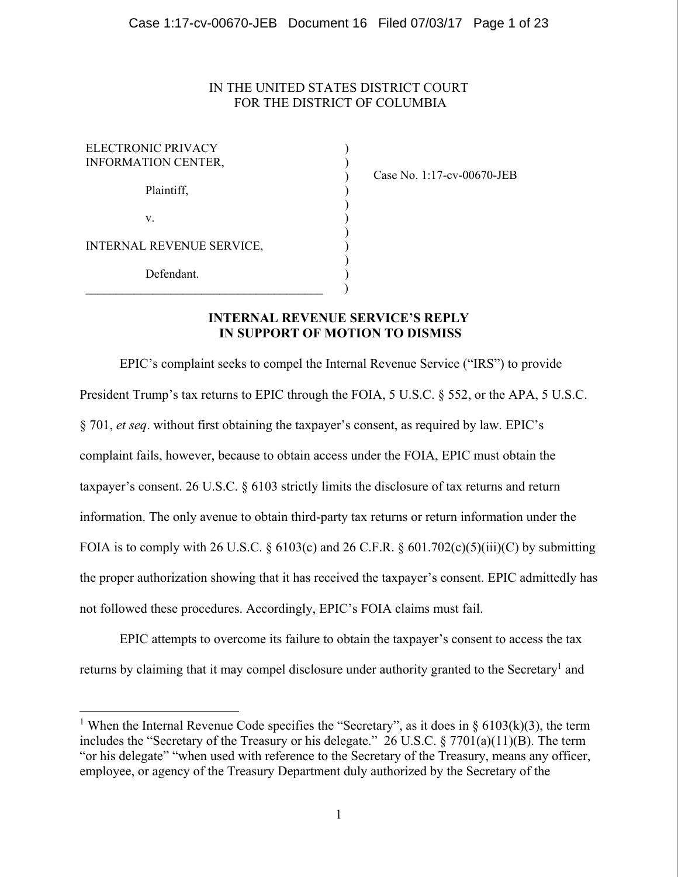### IN THE UNITED STATES DISTRICT COURT FOR THE DISTRICT OF COLUMBIA

| ELECTRONIC PRIVACY<br><b>INFORMATION CENTER,</b> |  |
|--------------------------------------------------|--|
| Plaintiff,                                       |  |
| V.                                               |  |
| INTERNAL REVENUE SERVICE,                        |  |
| Defendant                                        |  |
|                                                  |  |

<u>.</u>

Case No. 1:17-cv-00670-JEB

# **INTERNAL REVENUE SERVICE'S REPLY IN SUPPORT OF MOTION TO DISMISS**

EPIC's complaint seeks to compel the Internal Revenue Service ("IRS") to provide President Trump's tax returns to EPIC through the FOIA, 5 U.S.C. § 552, or the APA, 5 U.S.C. § 701, *et seq*. without first obtaining the taxpayer's consent, as required by law. EPIC's complaint fails, however, because to obtain access under the FOIA, EPIC must obtain the taxpayer's consent. 26 U.S.C. § 6103 strictly limits the disclosure of tax returns and return information. The only avenue to obtain third-party tax returns or return information under the FOIA is to comply with 26 U.S.C. § 6103(c) and 26 C.F.R. § 601.702(c)(5)(iii)(C) by submitting the proper authorization showing that it has received the taxpayer's consent. EPIC admittedly has not followed these procedures. Accordingly, EPIC's FOIA claims must fail.

EPIC attempts to overcome its failure to obtain the taxpayer's consent to access the tax returns by claiming that it may compel disclosure under authority granted to the Secretary<sup>1</sup> and

<sup>&</sup>lt;sup>1</sup> When the Internal Revenue Code specifies the "Secretary", as it does in § 6103(k)(3), the term includes the "Secretary of the Treasury or his delegate." 26 U.S.C. § 7701(a)(11)(B). The term "or his delegate" "when used with reference to the Secretary of the Treasury, means any officer, employee, or agency of the Treasury Department duly authorized by the Secretary of the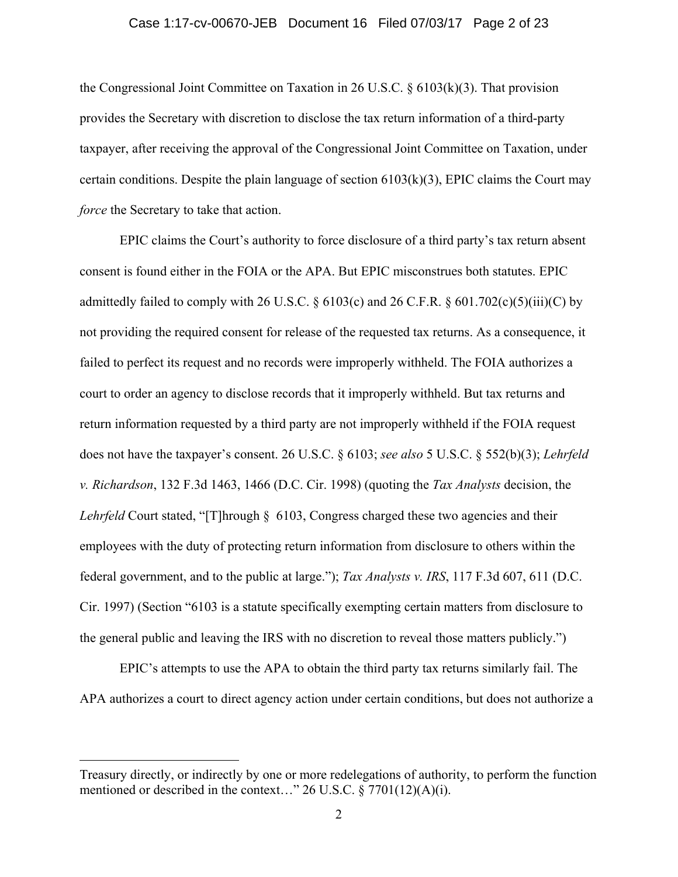#### Case 1:17-cv-00670-JEB Document 16 Filed 07/03/17 Page 2 of 23

the Congressional Joint Committee on Taxation in 26 U.S.C.  $\S 6103(k)(3)$ . That provision provides the Secretary with discretion to disclose the tax return information of a third-party taxpayer, after receiving the approval of the Congressional Joint Committee on Taxation, under certain conditions. Despite the plain language of section  $6103(k)(3)$ , EPIC claims the Court may *force* the Secretary to take that action.

EPIC claims the Court's authority to force disclosure of a third party's tax return absent consent is found either in the FOIA or the APA. But EPIC misconstrues both statutes. EPIC admittedly failed to comply with 26 U.S.C.  $\S$  6103(c) and 26 C.F.R.  $\S$  601.702(c)(5)(iii)(C) by not providing the required consent for release of the requested tax returns. As a consequence, it failed to perfect its request and no records were improperly withheld. The FOIA authorizes a court to order an agency to disclose records that it improperly withheld. But tax returns and return information requested by a third party are not improperly withheld if the FOIA request does not have the taxpayer's consent. 26 U.S.C. § 6103; *see also* 5 U.S.C. § 552(b)(3); *Lehrfeld v. Richardson*, 132 F.3d 1463, 1466 (D.C. Cir. 1998) (quoting the *Tax Analysts* decision, the *Lehrfeld* Court stated, "[T]hrough § 6103, Congress charged these two agencies and their employees with the duty of protecting return information from disclosure to others within the federal government, and to the public at large."); *Tax Analysts v. IRS*, 117 F.3d 607, 611 (D.C. Cir. 1997) (Section "6103 is a statute specifically exempting certain matters from disclosure to the general public and leaving the IRS with no discretion to reveal those matters publicly.")

EPIC's attempts to use the APA to obtain the third party tax returns similarly fail. The APA authorizes a court to direct agency action under certain conditions, but does not authorize a

Treasury directly, or indirectly by one or more redelegations of authority, to perform the function mentioned or described in the context..." 26 U.S.C.  $\frac{5}{9}$  7701(12)(A)(i).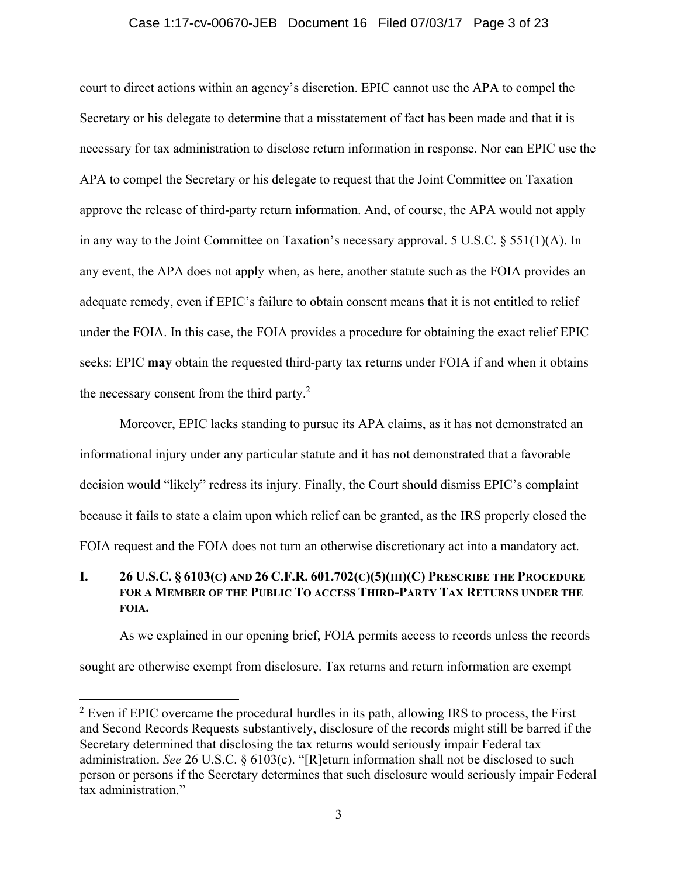### Case 1:17-cv-00670-JEB Document 16 Filed 07/03/17 Page 3 of 23

court to direct actions within an agency's discretion. EPIC cannot use the APA to compel the Secretary or his delegate to determine that a misstatement of fact has been made and that it is necessary for tax administration to disclose return information in response. Nor can EPIC use the APA to compel the Secretary or his delegate to request that the Joint Committee on Taxation approve the release of third-party return information. And, of course, the APA would not apply in any way to the Joint Committee on Taxation's necessary approval. 5 U.S.C. § 551(1)(A). In any event, the APA does not apply when, as here, another statute such as the FOIA provides an adequate remedy, even if EPIC's failure to obtain consent means that it is not entitled to relief under the FOIA. In this case, the FOIA provides a procedure for obtaining the exact relief EPIC seeks: EPIC **may** obtain the requested third-party tax returns under FOIA if and when it obtains the necessary consent from the third party.<sup>2</sup>

Moreover, EPIC lacks standing to pursue its APA claims, as it has not demonstrated an informational injury under any particular statute and it has not demonstrated that a favorable decision would "likely" redress its injury. Finally, the Court should dismiss EPIC's complaint because it fails to state a claim upon which relief can be granted, as the IRS properly closed the FOIA request and the FOIA does not turn an otherwise discretionary act into a mandatory act.

## **I. 26 U.S.C. § 6103(C) AND 26 C.F.R. 601.702(C)(5)(III)(C) PRESCRIBE THE PROCEDURE FOR A MEMBER OF THE PUBLIC TO ACCESS THIRD-PARTY TAX RETURNS UNDER THE FOIA.**

As we explained in our opening brief, FOIA permits access to records unless the records sought are otherwise exempt from disclosure. Tax returns and return information are exempt

 $2$  Even if EPIC overcame the procedural hurdles in its path, allowing IRS to process, the First and Second Records Requests substantively, disclosure of the records might still be barred if the Secretary determined that disclosing the tax returns would seriously impair Federal tax administration. *See* 26 U.S.C. § 6103(c). "[R]eturn information shall not be disclosed to such person or persons if the Secretary determines that such disclosure would seriously impair Federal tax administration."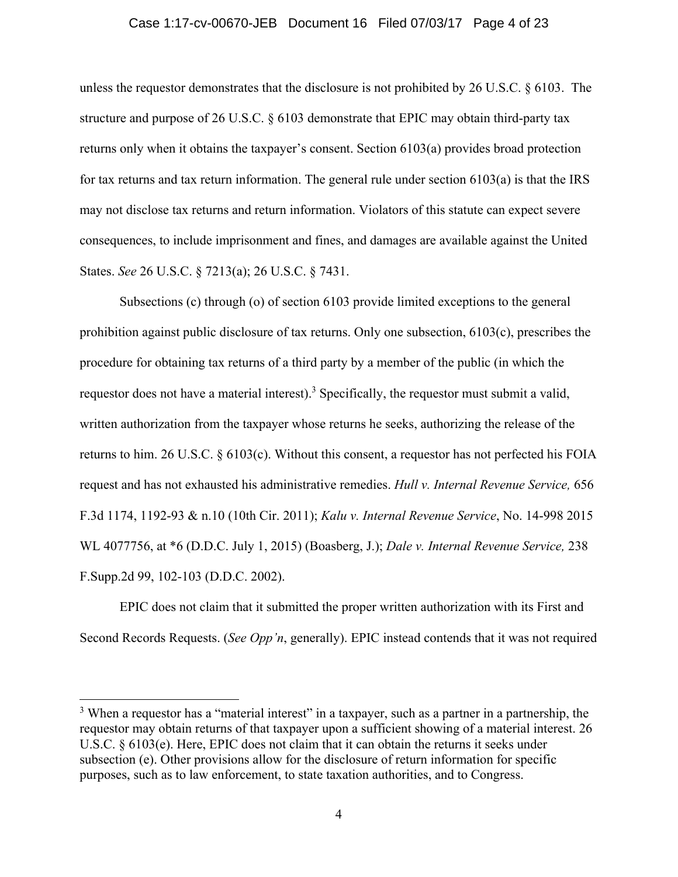#### Case 1:17-cv-00670-JEB Document 16 Filed 07/03/17 Page 4 of 23

unless the requestor demonstrates that the disclosure is not prohibited by 26 U.S.C. § 6103. The structure and purpose of 26 U.S.C. § 6103 demonstrate that EPIC may obtain third-party tax returns only when it obtains the taxpayer's consent. Section 6103(a) provides broad protection for tax returns and tax return information. The general rule under section 6103(a) is that the IRS may not disclose tax returns and return information. Violators of this statute can expect severe consequences, to include imprisonment and fines, and damages are available against the United States. *See* 26 U.S.C. § 7213(a); 26 U.S.C. § 7431.

Subsections (c) through (o) of section 6103 provide limited exceptions to the general prohibition against public disclosure of tax returns. Only one subsection, 6103(c), prescribes the procedure for obtaining tax returns of a third party by a member of the public (in which the requestor does not have a material interest).<sup>3</sup> Specifically, the requestor must submit a valid, written authorization from the taxpayer whose returns he seeks, authorizing the release of the returns to him. 26 U.S.C. § 6103(c). Without this consent, a requestor has not perfected his FOIA request and has not exhausted his administrative remedies. *Hull v. Internal Revenue Service,* 656 F.3d 1174, 1192-93 & n.10 (10th Cir. 2011); *Kalu v. Internal Revenue Service*, No. 14-998 2015 WL 4077756, at \*6 (D.D.C. July 1, 2015) (Boasberg, J.); *Dale v. Internal Revenue Service,* 238 F.Supp.2d 99, 102-103 (D.D.C. 2002).

EPIC does not claim that it submitted the proper written authorization with its First and Second Records Requests. (*See Opp'n*, generally). EPIC instead contends that it was not required

<u>.</u>

<sup>&</sup>lt;sup>3</sup> When a requestor has a "material interest" in a taxpayer, such as a partner in a partnership, the requestor may obtain returns of that taxpayer upon a sufficient showing of a material interest. 26 U.S.C. § 6103(e). Here, EPIC does not claim that it can obtain the returns it seeks under subsection (e). Other provisions allow for the disclosure of return information for specific purposes, such as to law enforcement, to state taxation authorities, and to Congress.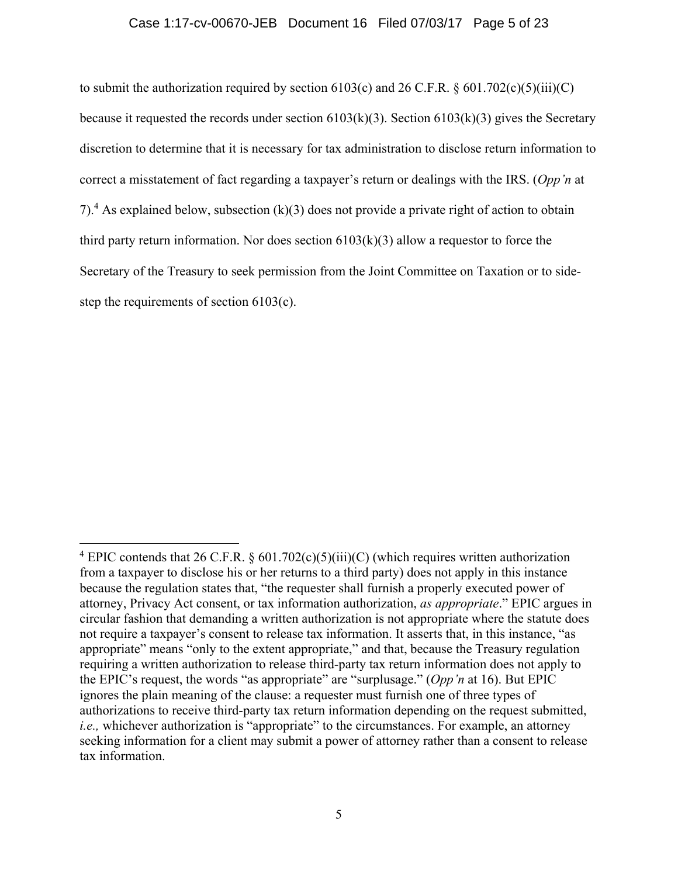### Case 1:17-cv-00670-JEB Document 16 Filed 07/03/17 Page 5 of 23

to submit the authorization required by section  $6103(c)$  and  $26$  C.F.R. §  $601.702(c)(5)(iii)(C)$ because it requested the records under section  $6103(k)(3)$ . Section  $6103(k)(3)$  gives the Secretary discretion to determine that it is necessary for tax administration to disclose return information to correct a misstatement of fact regarding a taxpayer's return or dealings with the IRS. (*Opp'n* at 7).<sup>4</sup> As explained below, subsection (k)(3) does not provide a private right of action to obtain third party return information. Nor does section  $6103(k)(3)$  allow a requestor to force the Secretary of the Treasury to seek permission from the Joint Committee on Taxation or to sidestep the requirements of section 6103(c).

 $\overline{a}$ <sup>4</sup> EPIC contends that 26 C.F.R. §  $601.702(c)(5)(iii)(C)$  (which requires written authorization from a taxpayer to disclose his or her returns to a third party) does not apply in this instance because the regulation states that, "the requester shall furnish a properly executed power of attorney, Privacy Act consent, or tax information authorization, *as appropriate*." EPIC argues in circular fashion that demanding a written authorization is not appropriate where the statute does not require a taxpayer's consent to release tax information. It asserts that, in this instance, "as appropriate" means "only to the extent appropriate," and that, because the Treasury regulation requiring a written authorization to release third-party tax return information does not apply to the EPIC's request, the words "as appropriate" are "surplusage." (*Opp'n* at 16). But EPIC ignores the plain meaning of the clause: a requester must furnish one of three types of authorizations to receive third-party tax return information depending on the request submitted, *i.e.*, whichever authorization is "appropriate" to the circumstances. For example, an attorney seeking information for a client may submit a power of attorney rather than a consent to release tax information.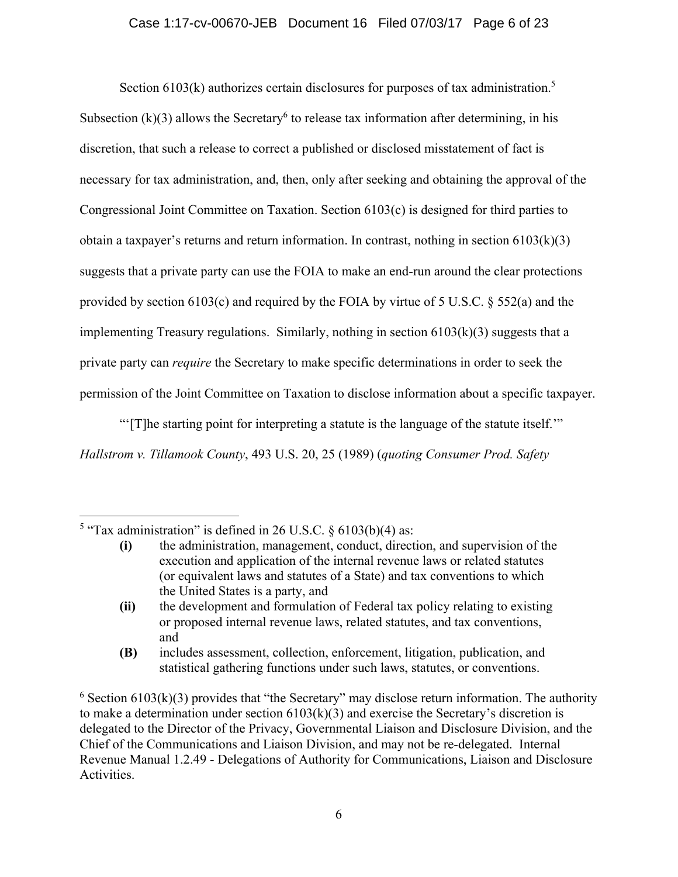### Case 1:17-cv-00670-JEB Document 16 Filed 07/03/17 Page 6 of 23

Section  $6103(k)$  authorizes certain disclosures for purposes of tax administration.<sup>5</sup> Subsection  $(k)(3)$  allows the Secretary<sup>6</sup> to release tax information after determining, in his discretion, that such a release to correct a published or disclosed misstatement of fact is necessary for tax administration, and, then, only after seeking and obtaining the approval of the Congressional Joint Committee on Taxation. Section 6103(c) is designed for third parties to obtain a taxpayer's returns and return information. In contrast, nothing in section  $6103(k)(3)$ suggests that a private party can use the FOIA to make an end-run around the clear protections provided by section 6103(c) and required by the FOIA by virtue of 5 U.S.C. § 552(a) and the implementing Treasury regulations. Similarly, nothing in section  $6103(k)(3)$  suggests that a private party can *require* the Secretary to make specific determinations in order to seek the permission of the Joint Committee on Taxation to disclose information about a specific taxpayer.

"'[T]he starting point for interpreting a statute is the language of the statute itself.'" *Hallstrom v. Tillamook County*, 493 U.S. 20, 25 (1989) (*quoting Consumer Prod. Safety* 

<sup>&</sup>lt;sup>5</sup> "Tax administration" is defined in 26 U.S.C.  $\S$  6103(b)(4) as:

**<sup>(</sup>i)** the administration, management, conduct, direction, and supervision of the execution and application of the internal revenue laws or related statutes (or equivalent laws and statutes of a State) and tax conventions to which the United States is a party, and

**<sup>(</sup>ii)** the development and formulation of Federal tax policy relating to existing or proposed internal revenue laws, related statutes, and tax conventions, and

**<sup>(</sup>B)** includes assessment, collection, enforcement, litigation, publication, and statistical gathering functions under such laws, statutes, or conventions.

 $6$  Section 6103(k)(3) provides that "the Secretary" may disclose return information. The authority to make a determination under section  $6103(k)(3)$  and exercise the Secretary's discretion is delegated to the Director of the Privacy, Governmental Liaison and Disclosure Division, and the Chief of the Communications and Liaison Division, and may not be re-delegated. Internal Revenue Manual 1.2.49 - Delegations of Authority for Communications, Liaison and Disclosure Activities.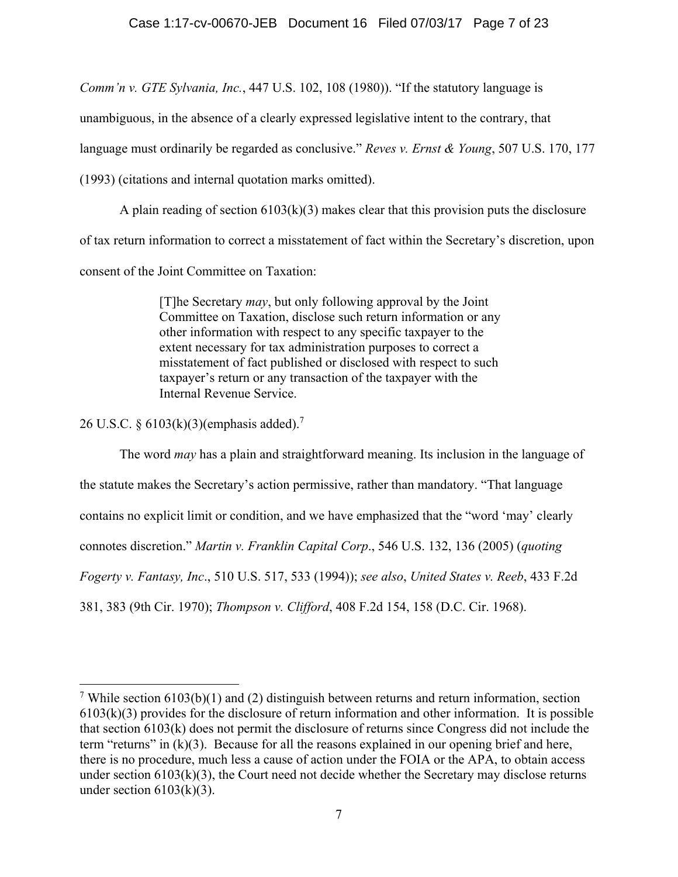*Comm'n v. GTE Sylvania, Inc.*, 447 U.S. 102, 108 (1980)). "If the statutory language is

unambiguous, in the absence of a clearly expressed legislative intent to the contrary, that

language must ordinarily be regarded as conclusive." *Reves v. Ernst & Young*, 507 U.S. 170, 177

(1993) (citations and internal quotation marks omitted).

A plain reading of section  $6103(k)(3)$  makes clear that this provision puts the disclosure of tax return information to correct a misstatement of fact within the Secretary's discretion, upon

consent of the Joint Committee on Taxation:

[T]he Secretary *may*, but only following approval by the Joint Committee on Taxation, disclose such return information or any other information with respect to any specific taxpayer to the extent necessary for tax administration purposes to correct a misstatement of fact published or disclosed with respect to such taxpayer's return or any transaction of the taxpayer with the Internal Revenue Service.

26 U.S.C. § 6103(k)(3)(emphasis added).<sup>7</sup>

 $\overline{a}$ 

The word *may* has a plain and straightforward meaning. Its inclusion in the language of the statute makes the Secretary's action permissive, rather than mandatory. "That language contains no explicit limit or condition, and we have emphasized that the "word 'may' clearly connotes discretion." *Martin v. Franklin Capital Corp*., 546 U.S. 132, 136 (2005) (*quoting Fogerty v. Fantasy, Inc*., 510 U.S. 517, 533 (1994)); *see also*, *United States v. Reeb*, 433 F.2d 381, 383 (9th Cir. 1970); *Thompson v. Clifford*, 408 F.2d 154, 158 (D.C. Cir. 1968).

<sup>&</sup>lt;sup>7</sup> While section  $6103(b)(1)$  and (2) distinguish between returns and return information, section 6103(k)(3) provides for the disclosure of return information and other information. It is possible that section 6103(k) does not permit the disclosure of returns since Congress did not include the term "returns" in (k)(3). Because for all the reasons explained in our opening brief and here, there is no procedure, much less a cause of action under the FOIA or the APA, to obtain access under section  $6103(k)(3)$ , the Court need not decide whether the Secretary may disclose returns under section  $6103(k)(3)$ .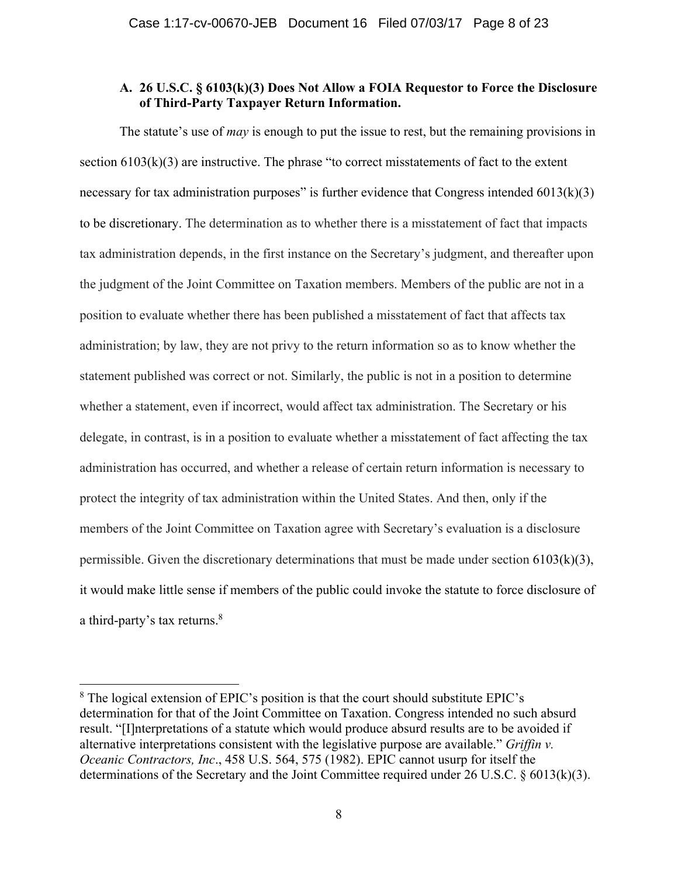### **A. 26 U.S.C. § 6103(k)(3) Does Not Allow a FOIA Requestor to Force the Disclosure of Third-Party Taxpayer Return Information.**

The statute's use of *may* is enough to put the issue to rest, but the remaining provisions in section  $6103(k)(3)$  are instructive. The phrase "to correct misstatements of fact to the extent necessary for tax administration purposes" is further evidence that Congress intended  $6013(k)(3)$ to be discretionary. The determination as to whether there is a misstatement of fact that impacts tax administration depends, in the first instance on the Secretary's judgment, and thereafter upon the judgment of the Joint Committee on Taxation members. Members of the public are not in a position to evaluate whether there has been published a misstatement of fact that affects tax administration; by law, they are not privy to the return information so as to know whether the statement published was correct or not. Similarly, the public is not in a position to determine whether a statement, even if incorrect, would affect tax administration. The Secretary or his delegate, in contrast, is in a position to evaluate whether a misstatement of fact affecting the tax administration has occurred, and whether a release of certain return information is necessary to protect the integrity of tax administration within the United States. And then, only if the members of the Joint Committee on Taxation agree with Secretary's evaluation is a disclosure permissible. Given the discretionary determinations that must be made under section  $6103(k)(3)$ , it would make little sense if members of the public could invoke the statute to force disclosure of a third-party's tax returns.<sup>8</sup>

<sup>&</sup>lt;sup>8</sup> The logical extension of EPIC's position is that the court should substitute EPIC's determination for that of the Joint Committee on Taxation. Congress intended no such absurd result. "[I]nterpretations of a statute which would produce absurd results are to be avoided if alternative interpretations consistent with the legislative purpose are available." *Griffin v. Oceanic Contractors, Inc*., 458 U.S. 564, 575 (1982). EPIC cannot usurp for itself the determinations of the Secretary and the Joint Committee required under 26 U.S.C. § 6013(k)(3).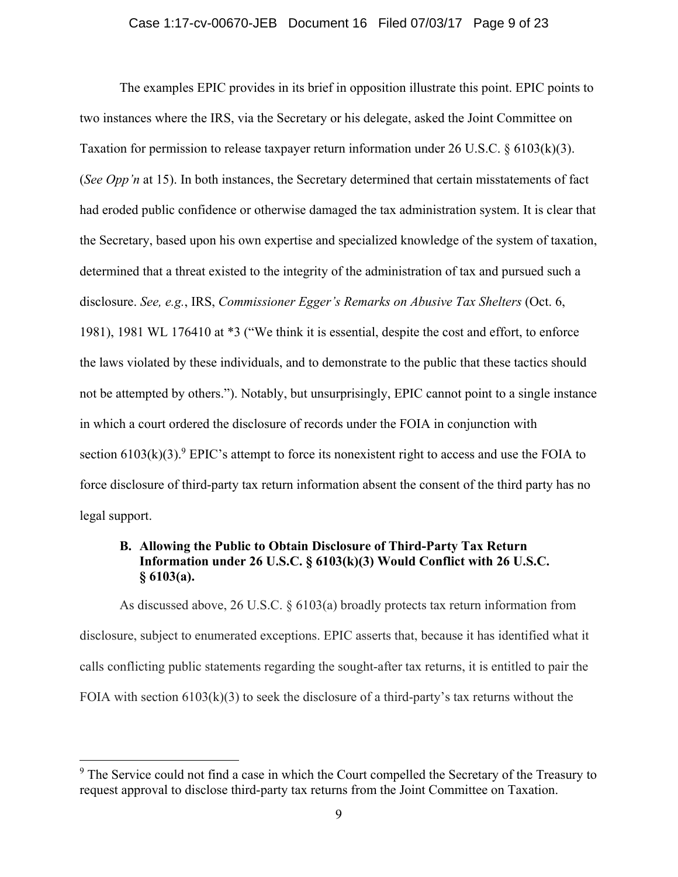### Case 1:17-cv-00670-JEB Document 16 Filed 07/03/17 Page 9 of 23

The examples EPIC provides in its brief in opposition illustrate this point. EPIC points to two instances where the IRS, via the Secretary or his delegate, asked the Joint Committee on Taxation for permission to release taxpayer return information under 26 U.S.C.  $\frac{6403(k)(3)}{26}$ . (*See Opp'n* at 15). In both instances, the Secretary determined that certain misstatements of fact had eroded public confidence or otherwise damaged the tax administration system. It is clear that the Secretary, based upon his own expertise and specialized knowledge of the system of taxation, determined that a threat existed to the integrity of the administration of tax and pursued such a disclosure. *See, e.g.*, IRS, *Commissioner Egger's Remarks on Abusive Tax Shelters* (Oct. 6, 1981), 1981 WL 176410 at \*3 ("We think it is essential, despite the cost and effort, to enforce the laws violated by these individuals, and to demonstrate to the public that these tactics should not be attempted by others."). Notably, but unsurprisingly, EPIC cannot point to a single instance in which a court ordered the disclosure of records under the FOIA in conjunction with section  $6103(k)(3)$ .<sup>9</sup> EPIC's attempt to force its nonexistent right to access and use the FOIA to force disclosure of third-party tax return information absent the consent of the third party has no legal support.

# **B. Allowing the Public to Obtain Disclosure of Third-Party Tax Return Information under 26 U.S.C. § 6103(k)(3) Would Conflict with 26 U.S.C. § 6103(a).**

As discussed above, 26 U.S.C. § 6103(a) broadly protects tax return information from disclosure, subject to enumerated exceptions. EPIC asserts that, because it has identified what it calls conflicting public statements regarding the sought-after tax returns, it is entitled to pair the FOIA with section  $6103(k)(3)$  to seek the disclosure of a third-party's tax returns without the

<sup>&</sup>lt;sup>9</sup> The Service could not find a case in which the Court compelled the Secretary of the Treasury to request approval to disclose third-party tax returns from the Joint Committee on Taxation.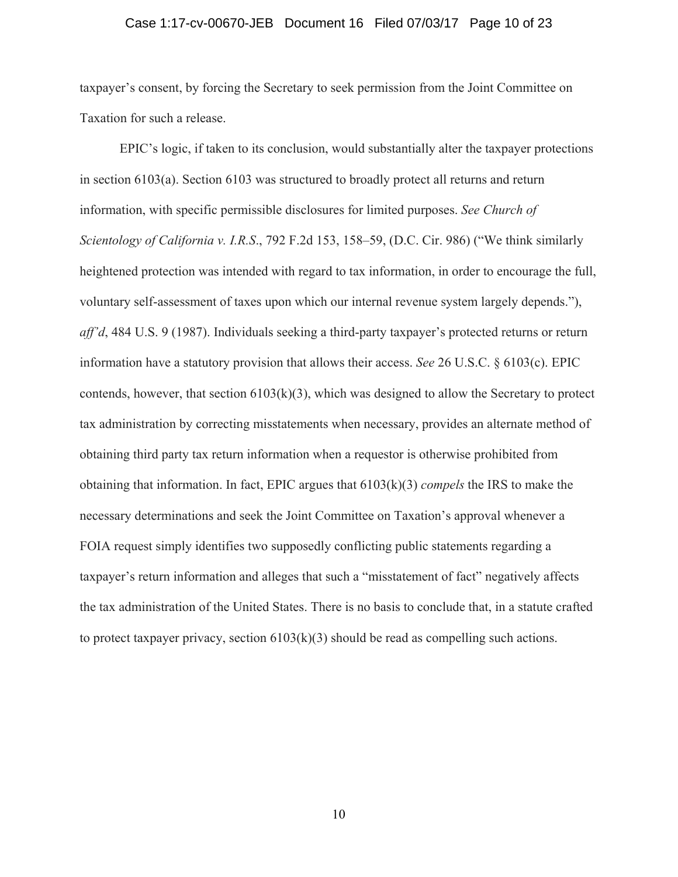#### Case 1:17-cv-00670-JEB Document 16 Filed 07/03/17 Page 10 of 23

taxpayer's consent, by forcing the Secretary to seek permission from the Joint Committee on Taxation for such a release.

EPIC's logic, if taken to its conclusion, would substantially alter the taxpayer protections in section 6103(a). Section 6103 was structured to broadly protect all returns and return information, with specific permissible disclosures for limited purposes. *See Church of Scientology of California v. I.R.S*., 792 F.2d 153, 158–59, (D.C. Cir. 986) ("We think similarly heightened protection was intended with regard to tax information, in order to encourage the full, voluntary self-assessment of taxes upon which our internal revenue system largely depends."), *aff'd*, 484 U.S. 9 (1987). Individuals seeking a third-party taxpayer's protected returns or return information have a statutory provision that allows their access. *See* 26 U.S.C. § 6103(c). EPIC contends, however, that section  $6103(k)(3)$ , which was designed to allow the Secretary to protect tax administration by correcting misstatements when necessary, provides an alternate method of obtaining third party tax return information when a requestor is otherwise prohibited from obtaining that information. In fact, EPIC argues that 6103(k)(3) *compels* the IRS to make the necessary determinations and seek the Joint Committee on Taxation's approval whenever a FOIA request simply identifies two supposedly conflicting public statements regarding a taxpayer's return information and alleges that such a "misstatement of fact" negatively affects the tax administration of the United States. There is no basis to conclude that, in a statute crafted to protect taxpayer privacy, section  $6103(k)(3)$  should be read as compelling such actions.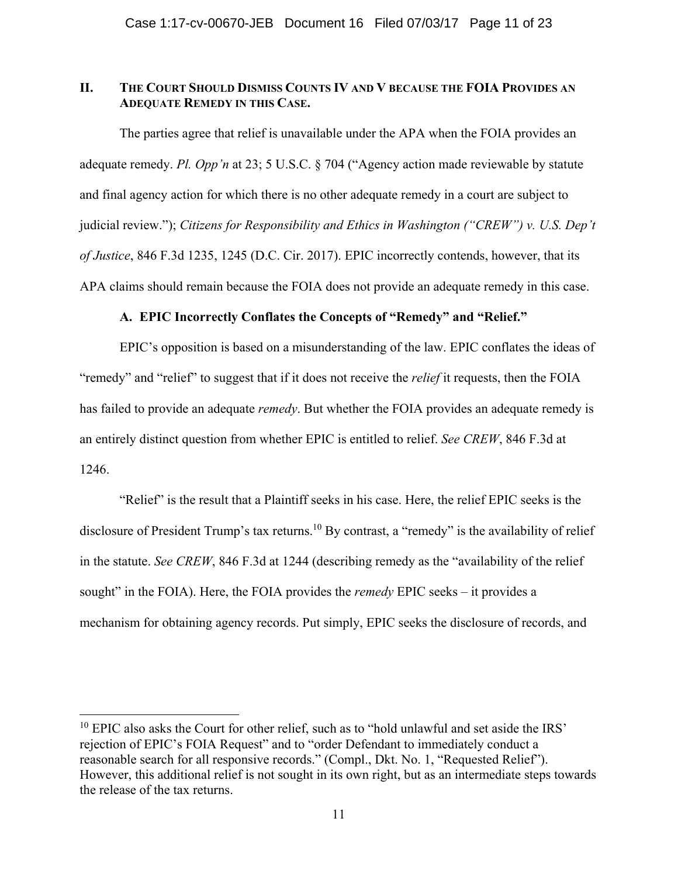### **II. THE COURT SHOULD DISMISS COUNTS IV AND V BECAUSE THE FOIA PROVIDES AN ADEQUATE REMEDY IN THIS CASE.**

 The parties agree that relief is unavailable under the APA when the FOIA provides an adequate remedy. *Pl. Opp'n* at 23; 5 U.S.C. § 704 ("Agency action made reviewable by statute and final agency action for which there is no other adequate remedy in a court are subject to judicial review."); *Citizens for Responsibility and Ethics in Washington ("CREW") v. U.S. Dep't of Justice*, 846 F.3d 1235, 1245 (D.C. Cir. 2017). EPIC incorrectly contends, however, that its APA claims should remain because the FOIA does not provide an adequate remedy in this case.

# **A. EPIC Incorrectly Conflates the Concepts of "Remedy" and "Relief."**

 EPIC's opposition is based on a misunderstanding of the law. EPIC conflates the ideas of "remedy" and "relief" to suggest that if it does not receive the *relief* it requests, then the FOIA has failed to provide an adequate *remedy*. But whether the FOIA provides an adequate remedy is an entirely distinct question from whether EPIC is entitled to relief. *See CREW*, 846 F.3d at 1246.

 "Relief" is the result that a Plaintiff seeks in his case. Here, the relief EPIC seeks is the disclosure of President Trump's tax returns.<sup>10</sup> By contrast, a "remedy" is the availability of relief in the statute. *See CREW*, 846 F.3d at 1244 (describing remedy as the "availability of the relief sought" in the FOIA). Here, the FOIA provides the *remedy* EPIC seeks – it provides a mechanism for obtaining agency records. Put simply, EPIC seeks the disclosure of records, and

 $10$  EPIC also asks the Court for other relief, such as to "hold unlawful and set aside the IRS" rejection of EPIC's FOIA Request" and to "order Defendant to immediately conduct a reasonable search for all responsive records." (Compl., Dkt. No. 1, "Requested Relief"). However, this additional relief is not sought in its own right, but as an intermediate steps towards the release of the tax returns.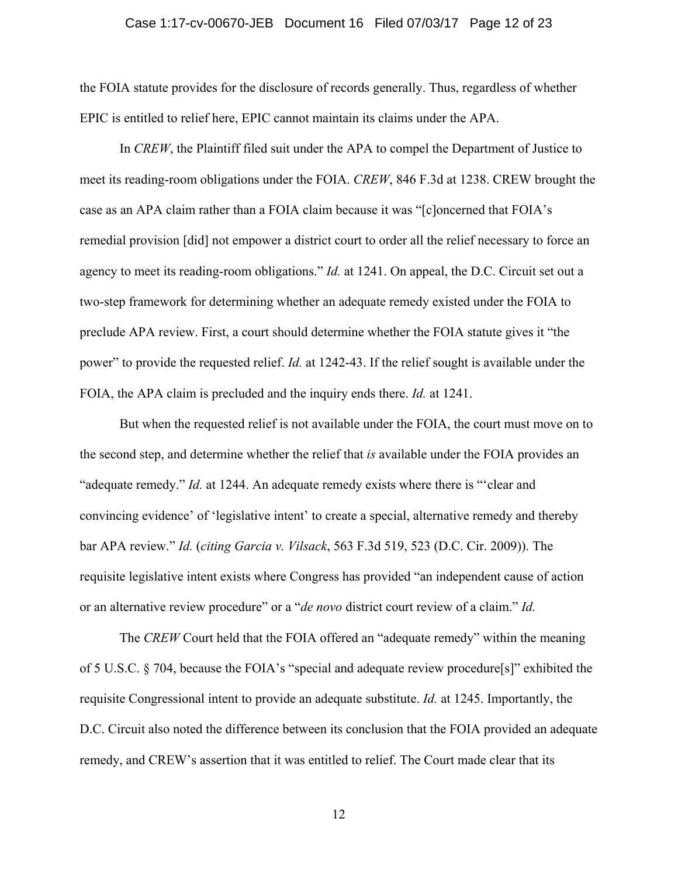#### Case 1:17-cv-00670-JEB Document 16 Filed 07/03/17 Page 12 of 23

the FOIA statute provides for the disclosure of records generally. Thus, regardless of whether EPIC is entitled to relief here, EPIC cannot maintain its claims under the APA.

 In *CREW*, the Plaintiff filed suit under the APA to compel the Department of Justice to meet its reading-room obligations under the FOIA. *CREW*, 846 F.3d at 1238. CREW brought the case as an APA claim rather than a FOIA claim because it was "[c]oncerned that FOIA's remedial provision [did] not empower a district court to order all the relief necessary to force an agency to meet its reading-room obligations." *Id.* at 1241. On appeal, the D.C. Circuit set out a two-step framework for determining whether an adequate remedy existed under the FOIA to preclude APA review. First, a court should determine whether the FOIA statute gives it "the power" to provide the requested relief. *Id.* at 1242-43. If the relief sought is available under the FOIA, the APA claim is precluded and the inquiry ends there. *Id.* at 1241.

But when the requested relief is not available under the FOIA, the court must move on to the second step, and determine whether the relief that *is* available under the FOIA provides an "adequate remedy." *Id.* at 1244. An adequate remedy exists where there is "'clear and convincing evidence' of 'legislative intent' to create a special, alternative remedy and thereby bar APA review." *Id.* (*citing Garcia v. Vilsack*, 563 F.3d 519, 523 (D.C. Cir. 2009)). The requisite legislative intent exists where Congress has provided "an independent cause of action or an alternative review procedure" or a "*de novo* district court review of a claim." *Id.* 

The *CREW* Court held that the FOIA offered an "adequate remedy" within the meaning of 5 U.S.C. § 704, because the FOIA's "special and adequate review procedure[s]" exhibited the requisite Congressional intent to provide an adequate substitute. *Id.* at 1245. Importantly, the D.C. Circuit also noted the difference between its conclusion that the FOIA provided an adequate remedy, and CREW's assertion that it was entitled to relief. The Court made clear that its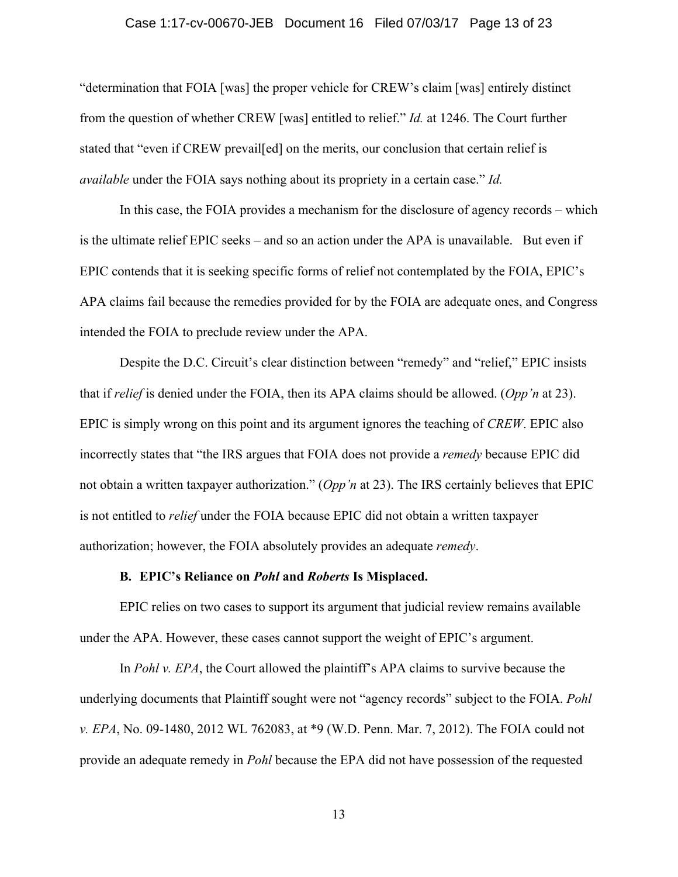#### Case 1:17-cv-00670-JEB Document 16 Filed 07/03/17 Page 13 of 23

"determination that FOIA [was] the proper vehicle for CREW's claim [was] entirely distinct from the question of whether CREW [was] entitled to relief." *Id.* at 1246. The Court further stated that "even if CREW prevail[ed] on the merits, our conclusion that certain relief is *available* under the FOIA says nothing about its propriety in a certain case." *Id.* 

In this case, the FOIA provides a mechanism for the disclosure of agency records – which is the ultimate relief EPIC seeks – and so an action under the APA is unavailable. But even if EPIC contends that it is seeking specific forms of relief not contemplated by the FOIA, EPIC's APA claims fail because the remedies provided for by the FOIA are adequate ones, and Congress intended the FOIA to preclude review under the APA.

Despite the D.C. Circuit's clear distinction between "remedy" and "relief," EPIC insists that if *relief* is denied under the FOIA, then its APA claims should be allowed. (*Opp'n* at 23). EPIC is simply wrong on this point and its argument ignores the teaching of *CREW*. EPIC also incorrectly states that "the IRS argues that FOIA does not provide a *remedy* because EPIC did not obtain a written taxpayer authorization." (*Opp'n* at 23). The IRS certainly believes that EPIC is not entitled to *relief* under the FOIA because EPIC did not obtain a written taxpayer authorization; however, the FOIA absolutely provides an adequate *remedy*.

### **B. EPIC's Reliance on** *Pohl* **and** *Roberts* **Is Misplaced.**

 EPIC relies on two cases to support its argument that judicial review remains available under the APA. However, these cases cannot support the weight of EPIC's argument.

 In *Pohl v. EPA*, the Court allowed the plaintiff's APA claims to survive because the underlying documents that Plaintiff sought were not "agency records" subject to the FOIA. *Pohl v. EPA*, No. 09-1480, 2012 WL 762083, at \*9 (W.D. Penn. Mar. 7, 2012). The FOIA could not provide an adequate remedy in *Pohl* because the EPA did not have possession of the requested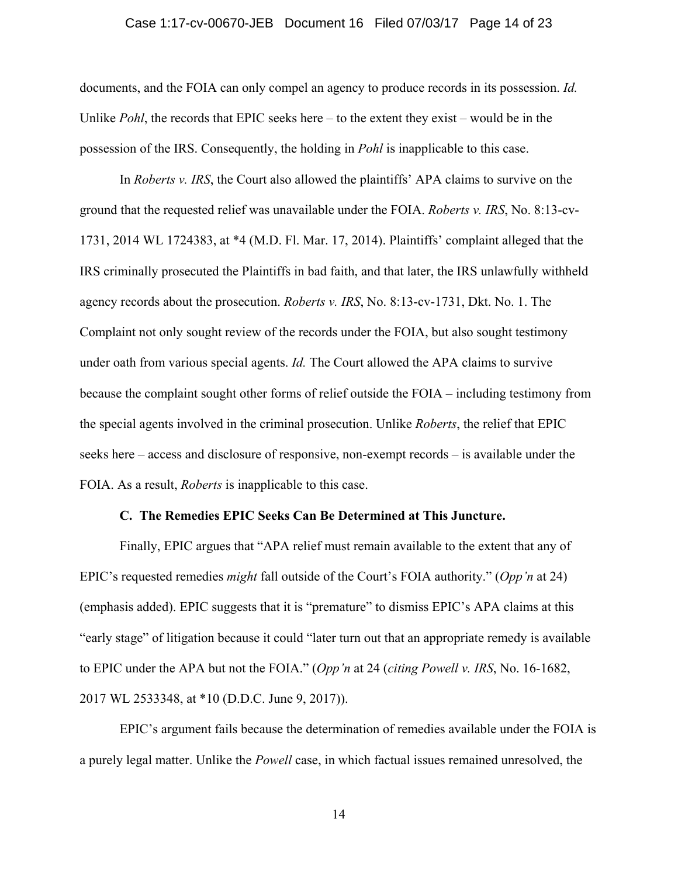#### Case 1:17-cv-00670-JEB Document 16 Filed 07/03/17 Page 14 of 23

documents, and the FOIA can only compel an agency to produce records in its possession. *Id.*  Unlike *Pohl*, the records that EPIC seeks here – to the extent they exist – would be in the possession of the IRS. Consequently, the holding in *Pohl* is inapplicable to this case.

In *Roberts v. IRS*, the Court also allowed the plaintiffs' APA claims to survive on the ground that the requested relief was unavailable under the FOIA. *Roberts v. IRS*, No. 8:13-cv-1731, 2014 WL 1724383, at \*4 (M.D. Fl. Mar. 17, 2014). Plaintiffs' complaint alleged that the IRS criminally prosecuted the Plaintiffs in bad faith, and that later, the IRS unlawfully withheld agency records about the prosecution. *Roberts v. IRS*, No. 8:13-cv-1731, Dkt. No. 1. The Complaint not only sought review of the records under the FOIA, but also sought testimony under oath from various special agents. *Id.* The Court allowed the APA claims to survive because the complaint sought other forms of relief outside the FOIA – including testimony from the special agents involved in the criminal prosecution. Unlike *Roberts*, the relief that EPIC seeks here – access and disclosure of responsive, non-exempt records – is available under the FOIA. As a result, *Roberts* is inapplicable to this case.

#### **C. The Remedies EPIC Seeks Can Be Determined at This Juncture.**

Finally, EPIC argues that "APA relief must remain available to the extent that any of EPIC's requested remedies *might* fall outside of the Court's FOIA authority." (*Opp'n* at 24) (emphasis added). EPIC suggests that it is "premature" to dismiss EPIC's APA claims at this "early stage" of litigation because it could "later turn out that an appropriate remedy is available to EPIC under the APA but not the FOIA." (*Opp'n* at 24 (*citing Powell v. IRS*, No. 16-1682, 2017 WL 2533348, at \*10 (D.D.C. June 9, 2017)).

EPIC's argument fails because the determination of remedies available under the FOIA is a purely legal matter. Unlike the *Powell* case, in which factual issues remained unresolved, the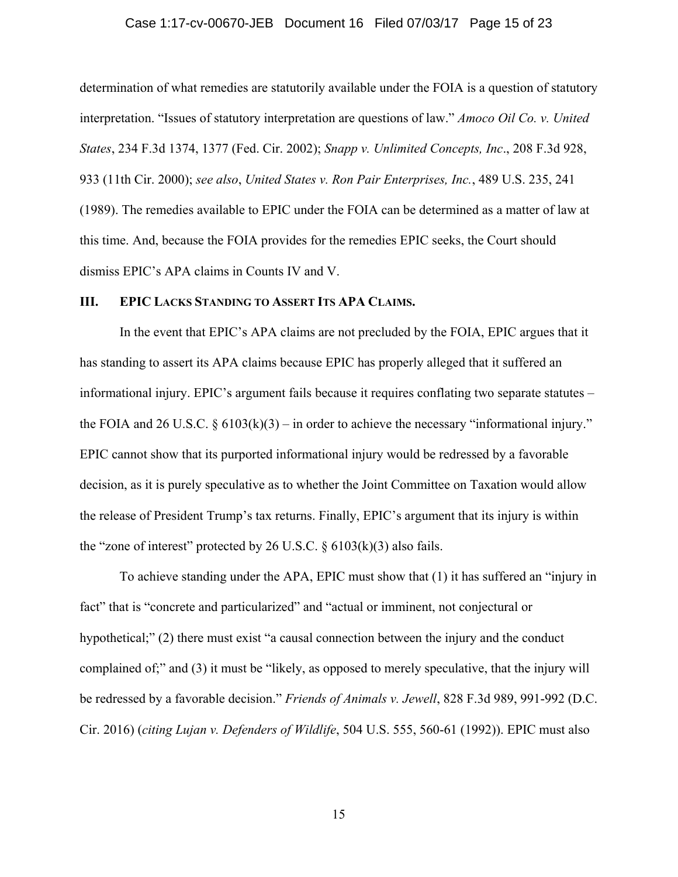#### Case 1:17-cv-00670-JEB Document 16 Filed 07/03/17 Page 15 of 23

determination of what remedies are statutorily available under the FOIA is a question of statutory interpretation. "Issues of statutory interpretation are questions of law." *Amoco Oil Co. v. United States*, 234 F.3d 1374, 1377 (Fed. Cir. 2002); *Snapp v. Unlimited Concepts, Inc*., 208 F.3d 928, 933 (11th Cir. 2000); *see also*, *United States v. Ron Pair Enterprises, Inc.*, 489 U.S. 235, 241 (1989). The remedies available to EPIC under the FOIA can be determined as a matter of law at this time. And, because the FOIA provides for the remedies EPIC seeks, the Court should dismiss EPIC's APA claims in Counts IV and V.

### **III. EPIC LACKS STANDING TO ASSERT ITS APA CLAIMS.**

 In the event that EPIC's APA claims are not precluded by the FOIA, EPIC argues that it has standing to assert its APA claims because EPIC has properly alleged that it suffered an informational injury. EPIC's argument fails because it requires conflating two separate statutes – the FOIA and 26 U.S.C.  $\S 6103(k)(3)$  – in order to achieve the necessary "informational injury." EPIC cannot show that its purported informational injury would be redressed by a favorable decision, as it is purely speculative as to whether the Joint Committee on Taxation would allow the release of President Trump's tax returns. Finally, EPIC's argument that its injury is within the "zone of interest" protected by 26 U.S.C.  $\S$  6103(k)(3) also fails.

To achieve standing under the APA, EPIC must show that (1) it has suffered an "injury in fact" that is "concrete and particularized" and "actual or imminent, not conjectural or hypothetical;" (2) there must exist "a causal connection between the injury and the conduct complained of;" and (3) it must be "likely, as opposed to merely speculative, that the injury will be redressed by a favorable decision." *Friends of Animals v. Jewell*, 828 F.3d 989, 991-992 (D.C. Cir. 2016) (*citing Lujan v. Defenders of Wildlife*, 504 U.S. 555, 560-61 (1992)). EPIC must also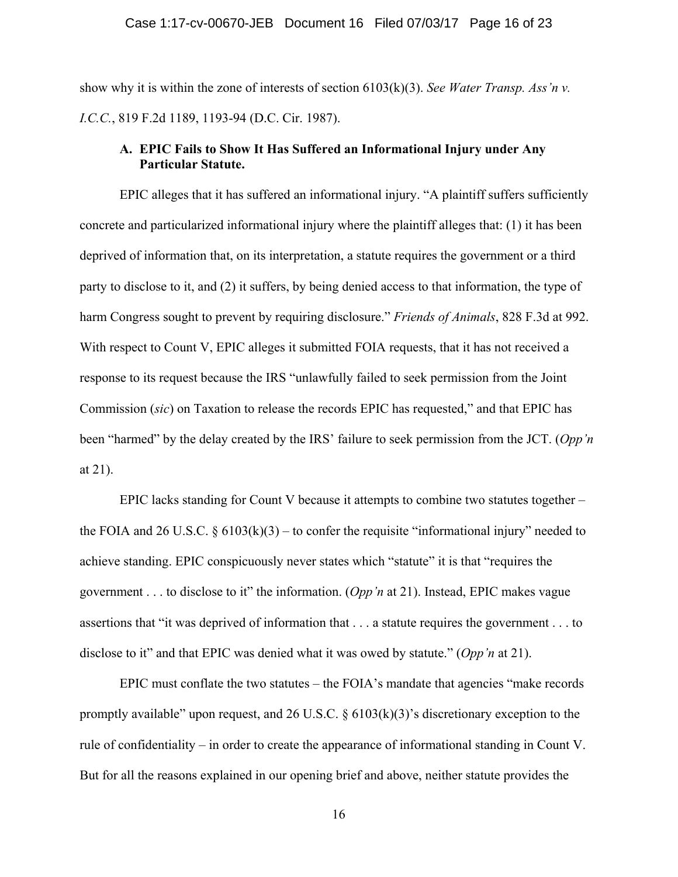show why it is within the zone of interests of section 6103(k)(3). *See Water Transp. Ass'n v. I.C.C.*, 819 F.2d 1189, 1193-94 (D.C. Cir. 1987).

### **A. EPIC Fails to Show It Has Suffered an Informational Injury under Any Particular Statute.**

 EPIC alleges that it has suffered an informational injury. "A plaintiff suffers sufficiently concrete and particularized informational injury where the plaintiff alleges that: (1) it has been deprived of information that, on its interpretation, a statute requires the government or a third party to disclose to it, and (2) it suffers, by being denied access to that information, the type of harm Congress sought to prevent by requiring disclosure." *Friends of Animals*, 828 F.3d at 992. With respect to Count V, EPIC alleges it submitted FOIA requests, that it has not received a response to its request because the IRS "unlawfully failed to seek permission from the Joint Commission (*sic*) on Taxation to release the records EPIC has requested," and that EPIC has been "harmed" by the delay created by the IRS' failure to seek permission from the JCT. (*Opp'n* at 21).

 EPIC lacks standing for Count V because it attempts to combine two statutes together – the FOIA and 26 U.S.C.  $\S 6103(k)(3)$  – to confer the requisite "informational injury" needed to achieve standing. EPIC conspicuously never states which "statute" it is that "requires the government . . . to disclose to it" the information. (*Opp'n* at 21). Instead, EPIC makes vague assertions that "it was deprived of information that . . . a statute requires the government . . . to disclose to it" and that EPIC was denied what it was owed by statute." (*Opp'n* at 21).

 EPIC must conflate the two statutes – the FOIA's mandate that agencies "make records promptly available" upon request, and 26 U.S.C.  $\S$  6103(k)(3)'s discretionary exception to the rule of confidentiality – in order to create the appearance of informational standing in Count V. But for all the reasons explained in our opening brief and above, neither statute provides the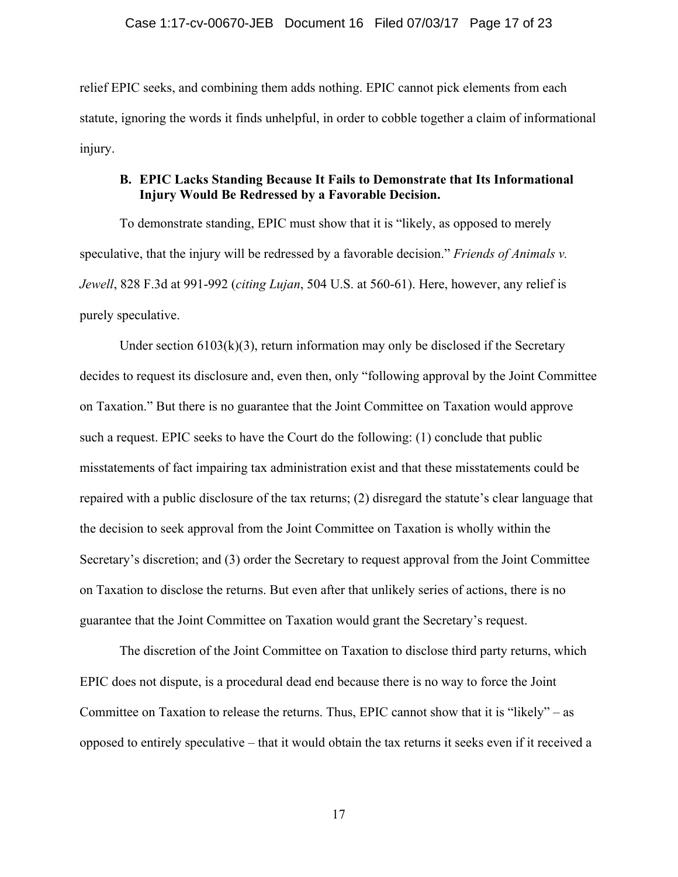relief EPIC seeks, and combining them adds nothing. EPIC cannot pick elements from each statute, ignoring the words it finds unhelpful, in order to cobble together a claim of informational injury.

# **B. EPIC Lacks Standing Because It Fails to Demonstrate that Its Informational Injury Would Be Redressed by a Favorable Decision.**

To demonstrate standing, EPIC must show that it is "likely, as opposed to merely speculative, that the injury will be redressed by a favorable decision." *Friends of Animals v. Jewell*, 828 F.3d at 991-992 (*citing Lujan*, 504 U.S. at 560-61). Here, however, any relief is purely speculative.

Under section  $6103(k)(3)$ , return information may only be disclosed if the Secretary decides to request its disclosure and, even then, only "following approval by the Joint Committee on Taxation." But there is no guarantee that the Joint Committee on Taxation would approve such a request. EPIC seeks to have the Court do the following: (1) conclude that public misstatements of fact impairing tax administration exist and that these misstatements could be repaired with a public disclosure of the tax returns; (2) disregard the statute's clear language that the decision to seek approval from the Joint Committee on Taxation is wholly within the Secretary's discretion; and (3) order the Secretary to request approval from the Joint Committee on Taxation to disclose the returns. But even after that unlikely series of actions, there is no guarantee that the Joint Committee on Taxation would grant the Secretary's request.

The discretion of the Joint Committee on Taxation to disclose third party returns, which EPIC does not dispute, is a procedural dead end because there is no way to force the Joint Committee on Taxation to release the returns. Thus, EPIC cannot show that it is "likely" – as opposed to entirely speculative – that it would obtain the tax returns it seeks even if it received a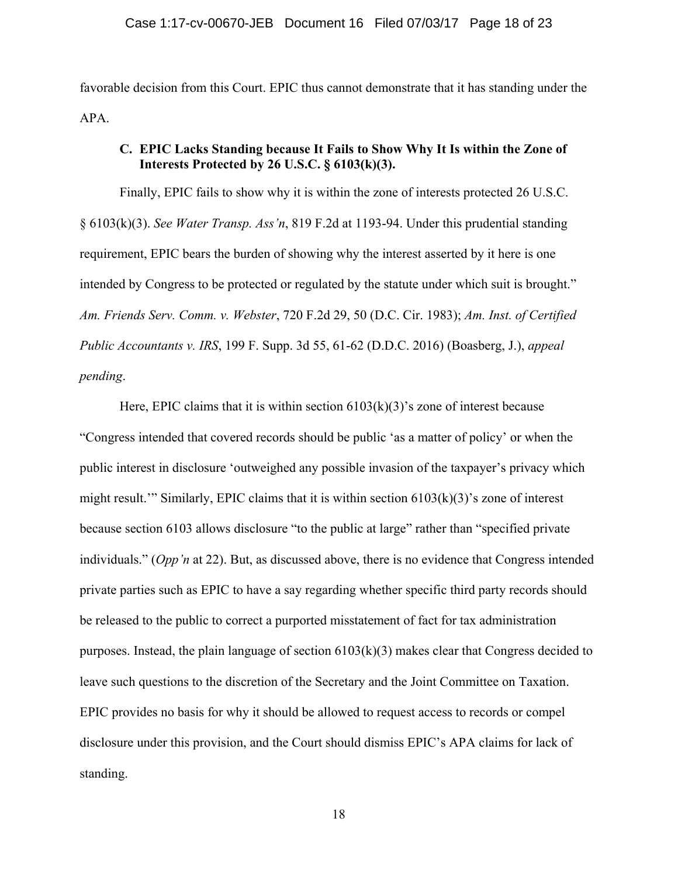favorable decision from this Court. EPIC thus cannot demonstrate that it has standing under the APA.

### **C. EPIC Lacks Standing because It Fails to Show Why It Is within the Zone of Interests Protected by 26 U.S.C. § 6103(k)(3).**

Finally, EPIC fails to show why it is within the zone of interests protected 26 U.S.C. § 6103(k)(3). *See Water Transp. Ass'n*, 819 F.2d at 1193-94. Under this prudential standing requirement, EPIC bears the burden of showing why the interest asserted by it here is one intended by Congress to be protected or regulated by the statute under which suit is brought." *Am. Friends Serv. Comm. v. Webster*, 720 F.2d 29, 50 (D.C. Cir. 1983); *Am. Inst. of Certified Public Accountants v. IRS*, 199 F. Supp. 3d 55, 61-62 (D.D.C. 2016) (Boasberg, J.), *appeal pending*.

Here, EPIC claims that it is within section  $6103(k)(3)$ 's zone of interest because "Congress intended that covered records should be public 'as a matter of policy' or when the public interest in disclosure 'outweighed any possible invasion of the taxpayer's privacy which might result.'" Similarly, EPIC claims that it is within section  $6103(k)(3)$ 's zone of interest because section 6103 allows disclosure "to the public at large" rather than "specified private individuals." (*Opp'n* at 22). But, as discussed above, there is no evidence that Congress intended private parties such as EPIC to have a say regarding whether specific third party records should be released to the public to correct a purported misstatement of fact for tax administration purposes. Instead, the plain language of section 6103(k)(3) makes clear that Congress decided to leave such questions to the discretion of the Secretary and the Joint Committee on Taxation. EPIC provides no basis for why it should be allowed to request access to records or compel disclosure under this provision, and the Court should dismiss EPIC's APA claims for lack of standing.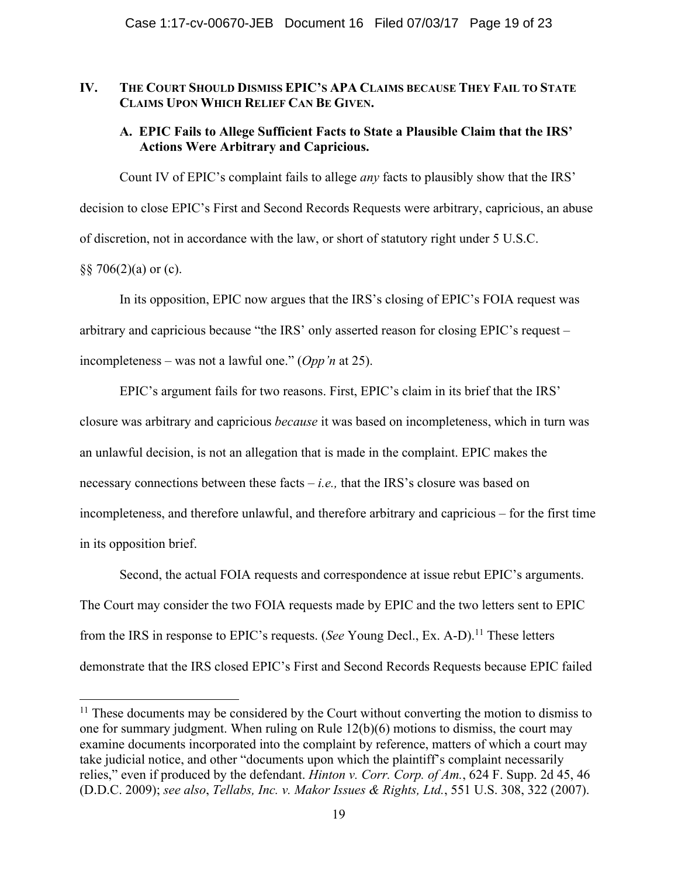### **IV. THE COURT SHOULD DISMISS EPIC'S APA CLAIMS BECAUSE THEY FAIL TO STATE CLAIMS UPON WHICH RELIEF CAN BE GIVEN.**

# **A. EPIC Fails to Allege Sufficient Facts to State a Plausible Claim that the IRS' Actions Were Arbitrary and Capricious.**

Count IV of EPIC's complaint fails to allege *any* facts to plausibly show that the IRS' decision to close EPIC's First and Second Records Requests were arbitrary, capricious, an abuse of discretion, not in accordance with the law, or short of statutory right under 5 U.S.C.  $\S$ § 706(2)(a) or (c).

In its opposition, EPIC now argues that the IRS's closing of EPIC's FOIA request was arbitrary and capricious because "the IRS' only asserted reason for closing EPIC's request – incompleteness – was not a lawful one." (*Opp'n* at 25).

EPIC's argument fails for two reasons. First, EPIC's claim in its brief that the IRS' closure was arbitrary and capricious *because* it was based on incompleteness, which in turn was an unlawful decision, is not an allegation that is made in the complaint. EPIC makes the necessary connections between these facts – *i.e.,* that the IRS's closure was based on incompleteness, and therefore unlawful, and therefore arbitrary and capricious – for the first time in its opposition brief.

Second, the actual FOIA requests and correspondence at issue rebut EPIC's arguments. The Court may consider the two FOIA requests made by EPIC and the two letters sent to EPIC from the IRS in response to EPIC's requests. (*See* Young Decl., Ex. A-D).<sup>11</sup> These letters demonstrate that the IRS closed EPIC's First and Second Records Requests because EPIC failed

 $11$  These documents may be considered by the Court without converting the motion to dismiss to one for summary judgment. When ruling on Rule  $12(b)(6)$  motions to dismiss, the court may examine documents incorporated into the complaint by reference, matters of which a court may take judicial notice, and other "documents upon which the plaintiff's complaint necessarily relies," even if produced by the defendant. *Hinton v. Corr. Corp. of Am.*, 624 F. Supp. 2d 45, 46 (D.D.C. 2009); *see also*, *Tellabs, Inc. v. Makor Issues & Rights, Ltd.*, 551 U.S. 308, 322 (2007).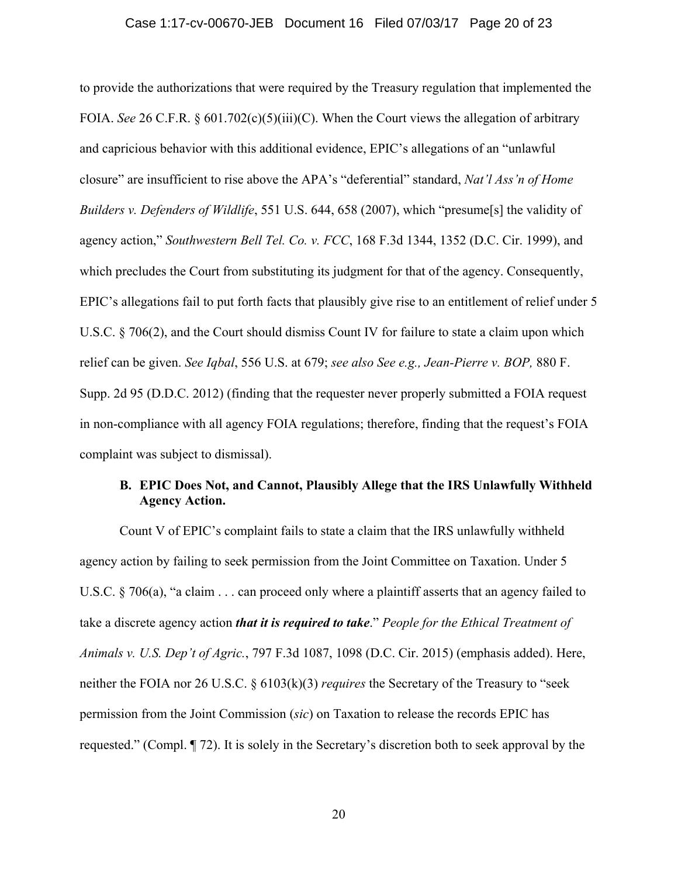#### Case 1:17-cv-00670-JEB Document 16 Filed 07/03/17 Page 20 of 23

to provide the authorizations that were required by the Treasury regulation that implemented the FOIA. *See* 26 C.F.R. § 601.702(c)(5)(iii)(C). When the Court views the allegation of arbitrary and capricious behavior with this additional evidence, EPIC's allegations of an "unlawful closure" are insufficient to rise above the APA's "deferential" standard, *Nat'l Ass'n of Home Builders v. Defenders of Wildlife*, 551 U.S. 644, 658 (2007), which "presume[s] the validity of agency action," *Southwestern Bell Tel. Co. v. FCC*, 168 F.3d 1344, 1352 (D.C. Cir. 1999), and which precludes the Court from substituting its judgment for that of the agency. Consequently, EPIC's allegations fail to put forth facts that plausibly give rise to an entitlement of relief under 5 U.S.C. § 706(2), and the Court should dismiss Count IV for failure to state a claim upon which relief can be given. *See Iqbal*, 556 U.S. at 679; *see also See e.g., Jean-Pierre v. BOP,* 880 F. Supp. 2d 95 (D.D.C. 2012) (finding that the requester never properly submitted a FOIA request in non-compliance with all agency FOIA regulations; therefore, finding that the request's FOIA complaint was subject to dismissal).

# **B. EPIC Does Not, and Cannot, Plausibly Allege that the IRS Unlawfully Withheld Agency Action.**

Count V of EPIC's complaint fails to state a claim that the IRS unlawfully withheld agency action by failing to seek permission from the Joint Committee on Taxation. Under 5 U.S.C. § 706(a), "a claim . . . can proceed only where a plaintiff asserts that an agency failed to take a discrete agency action *that it is required to take*." *People for the Ethical Treatment of Animals v. U.S. Dep't of Agric.*, 797 F.3d 1087, 1098 (D.C. Cir. 2015) (emphasis added). Here, neither the FOIA nor 26 U.S.C. § 6103(k)(3) *requires* the Secretary of the Treasury to "seek permission from the Joint Commission (*sic*) on Taxation to release the records EPIC has requested." (Compl. ¶ 72). It is solely in the Secretary's discretion both to seek approval by the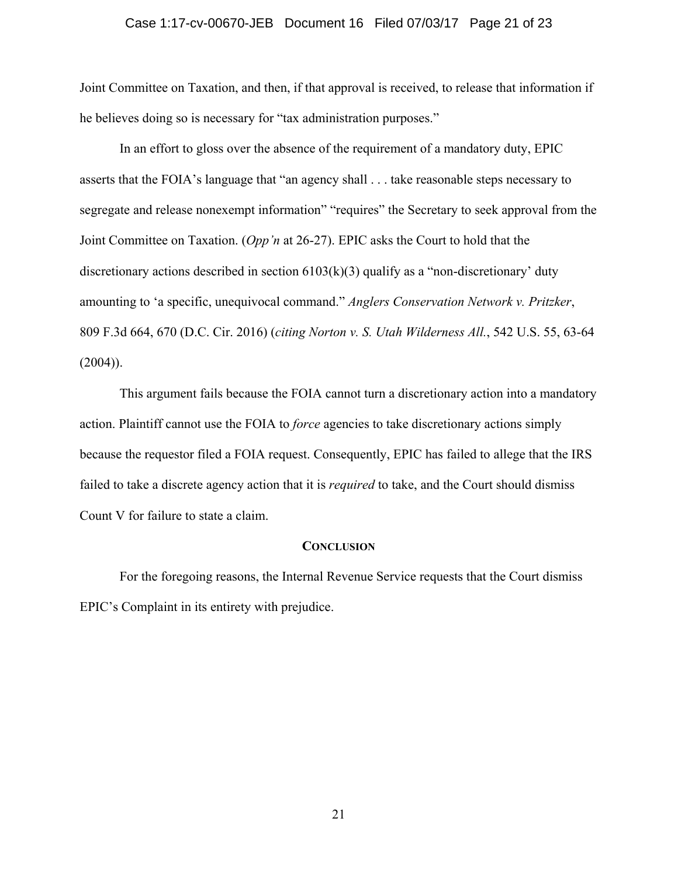#### Case 1:17-cv-00670-JEB Document 16 Filed 07/03/17 Page 21 of 23

Joint Committee on Taxation, and then, if that approval is received, to release that information if he believes doing so is necessary for "tax administration purposes."

In an effort to gloss over the absence of the requirement of a mandatory duty, EPIC asserts that the FOIA's language that "an agency shall . . . take reasonable steps necessary to segregate and release nonexempt information" "requires" the Secretary to seek approval from the Joint Committee on Taxation. (*Opp'n* at 26-27). EPIC asks the Court to hold that the discretionary actions described in section  $6103(k)(3)$  qualify as a "non-discretionary' duty amounting to 'a specific, unequivocal command." *Anglers Conservation Network v. Pritzker*, 809 F.3d 664, 670 (D.C. Cir. 2016) (*citing Norton v. S. Utah Wilderness All.*, 542 U.S. 55, 63-64  $(2004)$ ).

This argument fails because the FOIA cannot turn a discretionary action into a mandatory action. Plaintiff cannot use the FOIA to *force* agencies to take discretionary actions simply because the requestor filed a FOIA request. Consequently, EPIC has failed to allege that the IRS failed to take a discrete agency action that it is *required* to take, and the Court should dismiss Count V for failure to state a claim.

#### **CONCLUSION**

For the foregoing reasons, the Internal Revenue Service requests that the Court dismiss EPIC's Complaint in its entirety with prejudice.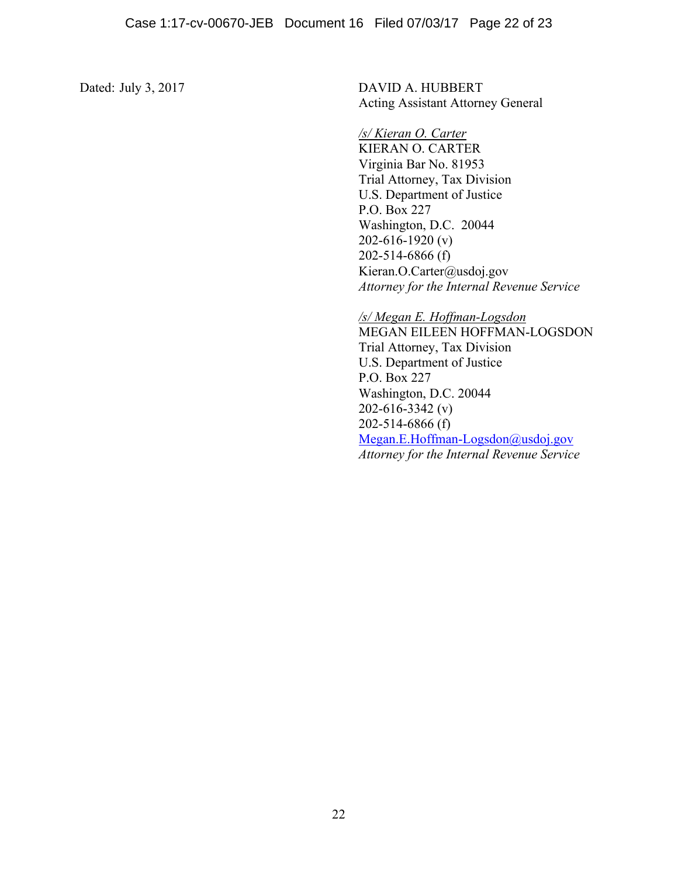Dated: July 3, 2017 DAVID A. HUBBERT Acting Assistant Attorney General

### */s/ Kieran O. Carter*

KIERAN O. CARTER Virginia Bar No. 81953 Trial Attorney, Tax Division U.S. Department of Justice P.O. Box 227 Washington, D.C. 20044 202-616-1920 (v) 202-514-6866 (f) Kieran.O.Carter@usdoj.gov *Attorney for the Internal Revenue Service* 

*/s/ Megan E. Hoffman-Logsdon* 

MEGAN EILEEN HOFFMAN-LOGSDON Trial Attorney, Tax Division U.S. Department of Justice P.O. Box 227 Washington, D.C. 20044 202-616-3342 (v) 202-514-6866 (f) Megan.E.Hoffman-Logsdon@usdoj.gov *Attorney for the Internal Revenue Service*